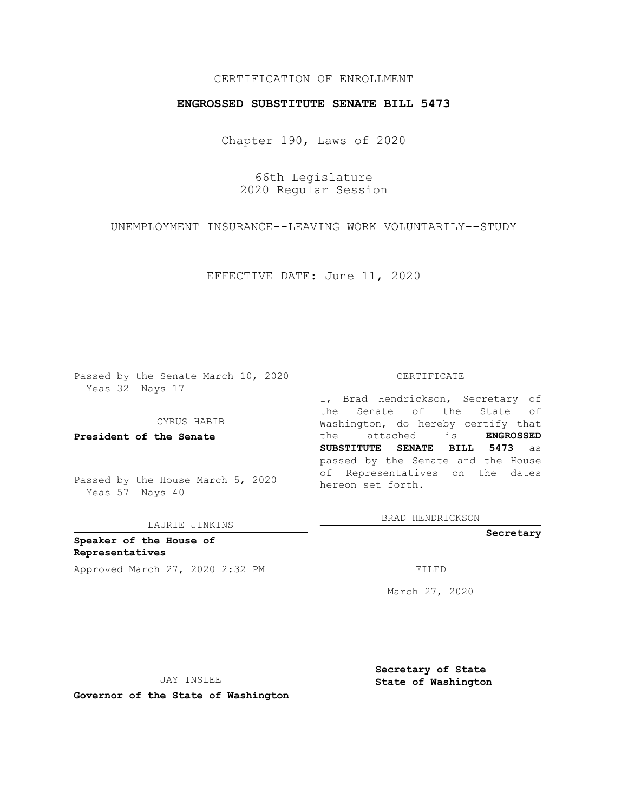## CERTIFICATION OF ENROLLMENT

### **ENGROSSED SUBSTITUTE SENATE BILL 5473**

Chapter 190, Laws of 2020

66th Legislature 2020 Regular Session

UNEMPLOYMENT INSURANCE--LEAVING WORK VOLUNTARILY--STUDY

EFFECTIVE DATE: June 11, 2020

Passed by the Senate March 10, 2020 Yeas 32 Nays 17

CYRUS HABIB

**President of the Senate**

Passed by the House March 5, 2020 Yeas 57 Nays 40

LAURIE JINKINS

**Speaker of the House of Representatives** Approved March 27, 2020 2:32 PM

#### CERTIFICATE

I, Brad Hendrickson, Secretary of the Senate of the State of Washington, do hereby certify that the attached is **ENGROSSED SUBSTITUTE SENATE BILL 5473** as passed by the Senate and the House of Representatives on the dates hereon set forth.

BRAD HENDRICKSON

**Secretary**

March 27, 2020

JAY INSLEE

**Secretary of State State of Washington**

**Governor of the State of Washington**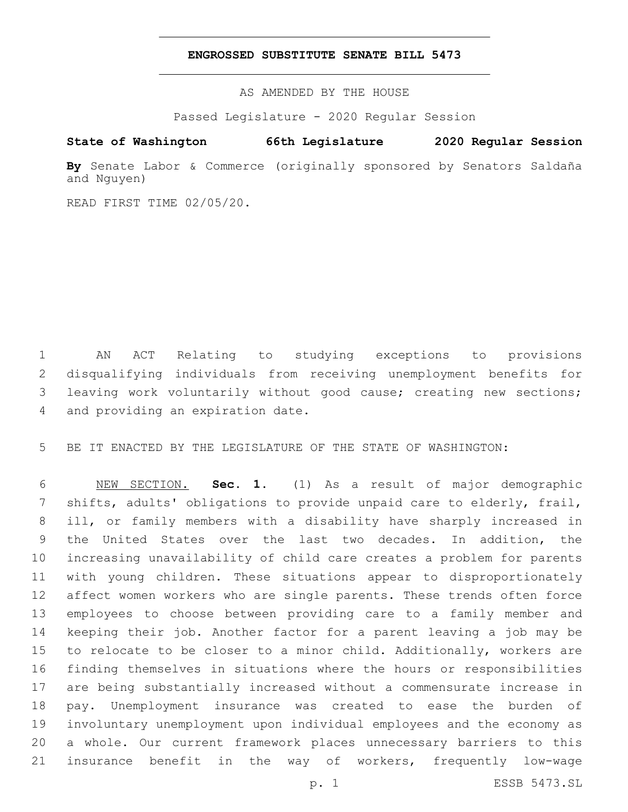#### **ENGROSSED SUBSTITUTE SENATE BILL 5473**

AS AMENDED BY THE HOUSE

Passed Legislature - 2020 Regular Session

# **State of Washington 66th Legislature 2020 Regular Session**

**By** Senate Labor & Commerce (originally sponsored by Senators Saldaña and Nguyen)

READ FIRST TIME 02/05/20.

 AN ACT Relating to studying exceptions to provisions disqualifying individuals from receiving unemployment benefits for leaving work voluntarily without good cause; creating new sections; 4 and providing an expiration date.

BE IT ENACTED BY THE LEGISLATURE OF THE STATE OF WASHINGTON:

 NEW SECTION. **Sec. 1.** (1) As a result of major demographic shifts, adults' obligations to provide unpaid care to elderly, frail, ill, or family members with a disability have sharply increased in the United States over the last two decades. In addition, the increasing unavailability of child care creates a problem for parents with young children. These situations appear to disproportionately affect women workers who are single parents. These trends often force employees to choose between providing care to a family member and keeping their job. Another factor for a parent leaving a job may be to relocate to be closer to a minor child. Additionally, workers are finding themselves in situations where the hours or responsibilities are being substantially increased without a commensurate increase in pay. Unemployment insurance was created to ease the burden of involuntary unemployment upon individual employees and the economy as a whole. Our current framework places unnecessary barriers to this insurance benefit in the way of workers, frequently low-wage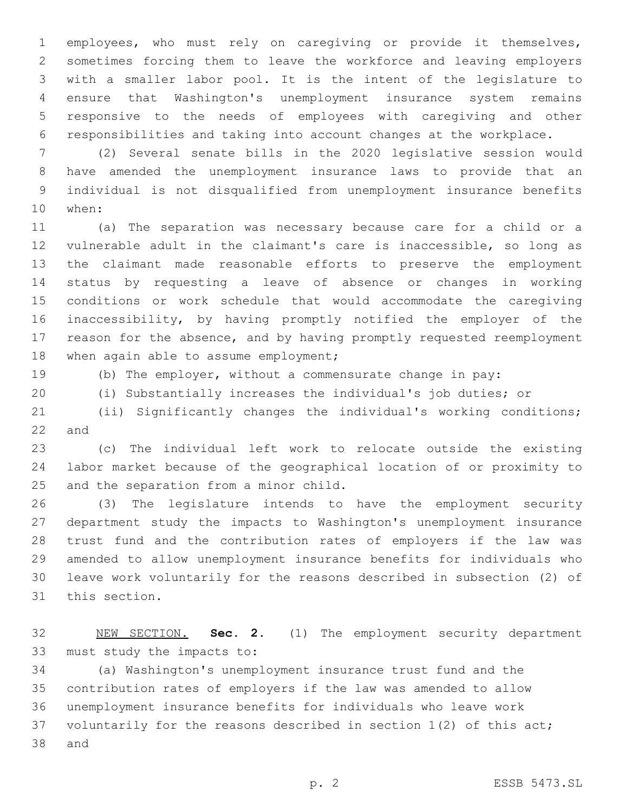employees, who must rely on caregiving or provide it themselves, sometimes forcing them to leave the workforce and leaving employers with a smaller labor pool. It is the intent of the legislature to ensure that Washington's unemployment insurance system remains responsive to the needs of employees with caregiving and other responsibilities and taking into account changes at the workplace.

 (2) Several senate bills in the 2020 legislative session would have amended the unemployment insurance laws to provide that an individual is not disqualified from unemployment insurance benefits 10 when:

 (a) The separation was necessary because care for a child or a vulnerable adult in the claimant's care is inaccessible, so long as the claimant made reasonable efforts to preserve the employment status by requesting a leave of absence or changes in working conditions or work schedule that would accommodate the caregiving inaccessibility, by having promptly notified the employer of the reason for the absence, and by having promptly requested reemployment 18 when again able to assume employment;

(b) The employer, without a commensurate change in pay:

(i) Substantially increases the individual's job duties; or

 (ii) Significantly changes the individual's working conditions; and

 (c) The individual left work to relocate outside the existing labor market because of the geographical location of or proximity to 25 and the separation from a minor child.

 (3) The legislature intends to have the employment security department study the impacts to Washington's unemployment insurance trust fund and the contribution rates of employers if the law was amended to allow unemployment insurance benefits for individuals who leave work voluntarily for the reasons described in subsection (2) of 31 this section.

 NEW SECTION. **Sec. 2.** (1) The employment security department must study the impacts to:

 (a) Washington's unemployment insurance trust fund and the contribution rates of employers if the law was amended to allow unemployment insurance benefits for individuals who leave work voluntarily for the reasons described in section 1(2) of this act; 38 and